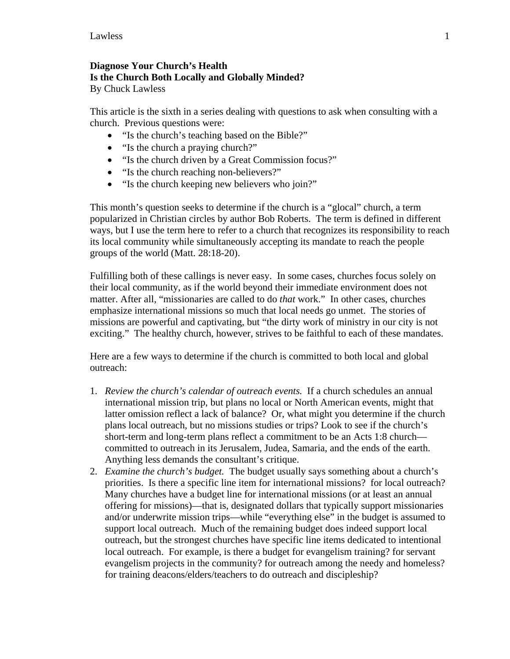## **Diagnose Your Church's Health Is the Church Both Locally and Globally Minded?**

By Chuck Lawless

This article is the sixth in a series dealing with questions to ask when consulting with a church. Previous questions were:

- "Is the church's teaching based on the Bible?"
- "Is the church a praying church?"
- "Is the church driven by a Great Commission focus?"
- "Is the church reaching non-believers?"
- "Is the church keeping new believers who join?"

This month's question seeks to determine if the church is a "glocal" church, a term popularized in Christian circles by author Bob Roberts. The term is defined in different ways, but I use the term here to refer to a church that recognizes its responsibility to reach its local community while simultaneously accepting its mandate to reach the people groups of the world (Matt. 28:18-20).

Fulfilling both of these callings is never easy. In some cases, churches focus solely on their local community, as if the world beyond their immediate environment does not matter. After all, "missionaries are called to do *that* work." In other cases, churches emphasize international missions so much that local needs go unmet. The stories of missions are powerful and captivating, but "the dirty work of ministry in our city is not exciting." The healthy church, however, strives to be faithful to each of these mandates.

Here are a few ways to determine if the church is committed to both local and global outreach:

- 1. *Review the church's calendar of outreach events.* If a church schedules an annual international mission trip, but plans no local or North American events, might that latter omission reflect a lack of balance? Or, what might you determine if the church plans local outreach, but no missions studies or trips? Look to see if the church's short-term and long-term plans reflect a commitment to be an Acts 1:8 church committed to outreach in its Jerusalem, Judea, Samaria, and the ends of the earth. Anything less demands the consultant's critique.
- 2. *Examine the church's budget.* The budget usually says something about a church's priorities. Is there a specific line item for international missions? for local outreach? Many churches have a budget line for international missions (or at least an annual offering for missions)—that is, designated dollars that typically support missionaries and/or underwrite mission trips—while "everything else" in the budget is assumed to support local outreach. Much of the remaining budget does indeed support local outreach, but the strongest churches have specific line items dedicated to intentional local outreach. For example, is there a budget for evangelism training? for servant evangelism projects in the community? for outreach among the needy and homeless? for training deacons/elders/teachers to do outreach and discipleship?